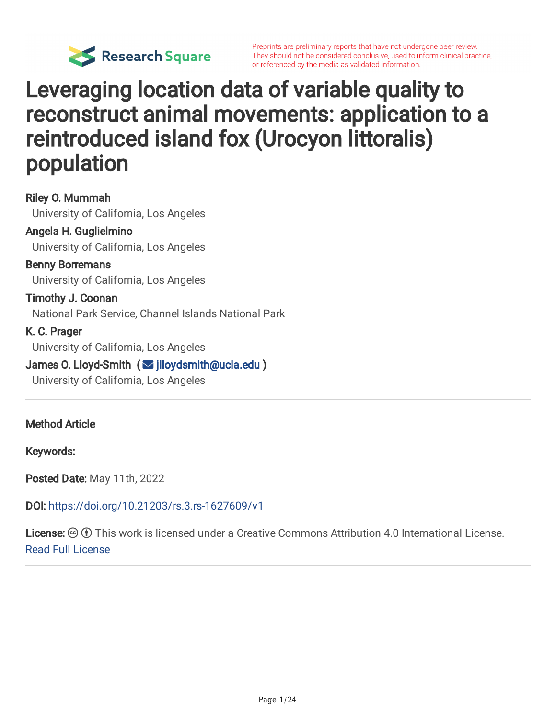

## Leveraging location data of variable quality to reconstruct animal movements: application to a reintroduced island fox (Urocyon littoralis) population

Riley O. Mummah University of California, Los Angeles Angela H. Guglielmino University of California, Los Angeles Benny Borremans University of California, Los Angeles Timothy J. Coonan National Park Service, Channel Islands National Park K. C. Prager University of California, Los Angeles James O. Lloyd-Smith ( | [jlloydsmith@ucla.edu](mailto:jlloydsmith@ucla.edu) ) University of California, Los Angeles

Method Article

Keywords:

Posted Date: May 11th, 2022

DOI: <https://doi.org/10.21203/rs.3.rs-1627609/v1>

**License:**  $\circledcirc$   $\circledcirc$  This work is licensed under a Creative Commons Attribution 4.0 International License. Read Full [License](https://creativecommons.org/licenses/by/4.0/)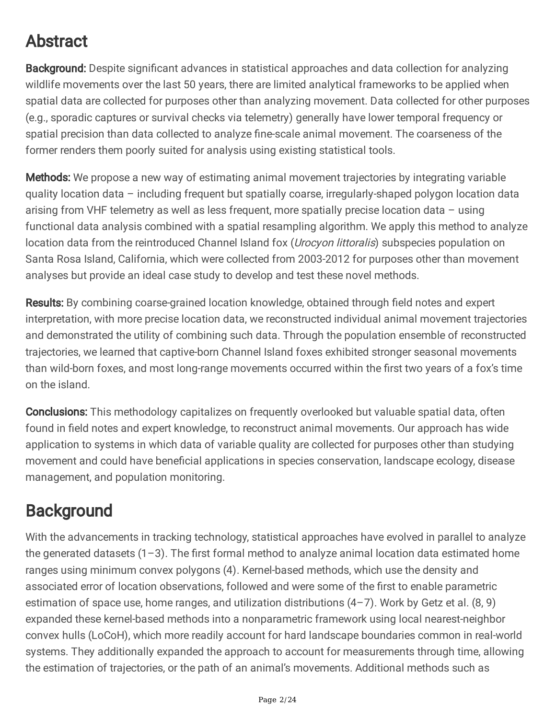## Abstract

Background: Despite significant advances in statistical approaches and data collection for analyzing wildlife movements over the last 50 years, there are limited analytical frameworks to be applied when spatial data are collected for purposes other than analyzing movement. Data collected for other purposes (e.g., sporadic captures or survival checks via telemetry) generally have lower temporal frequency or spatial precision than data collected to analyze fine-scale animal movement. The coarseness of the former renders them poorly suited for analysis using existing statistical tools.

**Methods:** We propose a new way of estimating animal movement trajectories by integrating variable quality location data – including frequent but spatially coarse, irregularly-shaped polygon location data arising from VHF telemetry as well as less frequent, more spatially precise location data – using functional data analysis combined with a spatial resampling algorithm. We apply this method to analyze location data from the reintroduced Channel Island fox (Urocyon littoralis) subspecies population on Santa Rosa Island, California, which were collected from 2003-2012 for purposes other than movement analyses but provide an ideal case study to develop and test these novel methods.

Results: By combining coarse-grained location knowledge, obtained through field notes and expert interpretation, with more precise location data, we reconstructed individual animal movement trajectories and demonstrated the utility of combining such data. Through the population ensemble of reconstructed trajectories, we learned that captive-born Channel Island foxes exhibited stronger seasonal movements than wild-born foxes, and most long-range movements occurred within the first two years of a fox's time on the island.

**Conclusions:** This methodology capitalizes on frequently overlooked but valuable spatial data, often found in field notes and expert knowledge, to reconstruct animal movements. Our approach has wide application to systems in which data of variable quality are collected for purposes other than studying movement and could have beneficial applications in species conservation, landscape ecology, disease management, and population monitoring.

## **Background**

With the advancements in tracking technology, statistical approaches have evolved in parallel to analyze the generated datasets  $(1-3)$ . The first formal method to analyze animal location data estimated home ranges using minimum convex polygons (4). Kernel-based methods, which use the density and associated error of location observations, followed and were some of the first to enable parametric estimation of space use, home ranges, and utilization distributions  $(4-7)$ . Work by Getz et al.  $(8, 9)$ expanded these kernel-based methods into a nonparametric framework using local nearest-neighbor convex hulls (LoCoH), which more readily account for hard landscape boundaries common in real-world systems. They additionally expanded the approach to account for measurements through time, allowing the estimation of trajectories, or the path of an animal's movements. Additional methods such as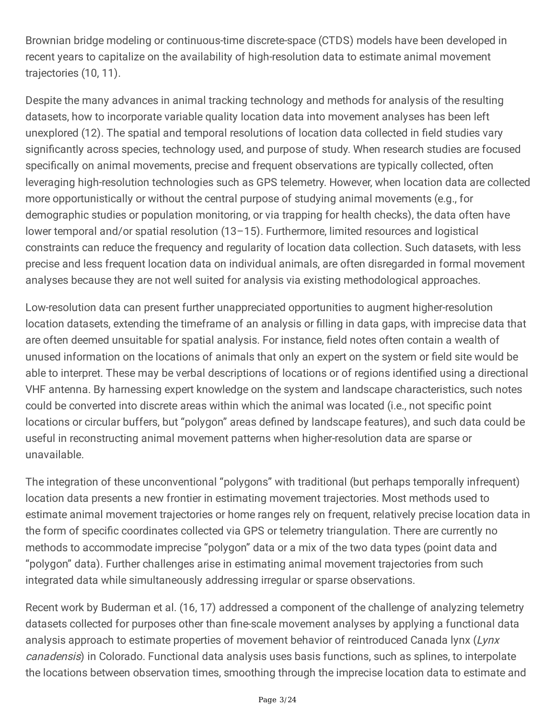Brownian bridge modeling or continuous-time discrete-space (CTDS) models have been developed in recent years to capitalize on the availability of high-resolution data to estimate animal movement trajectories (10, 11).

Despite the many advances in animal tracking technology and methods for analysis of the resulting datasets, how to incorporate variable quality location data into movement analyses has been left unexplored (12). The spatial and temporal resolutions of location data collected in field studies vary significantly across species, technology used, and purpose of study. When research studies are focused specifically on animal movements, precise and frequent observations are typically collected, often leveraging high-resolution technologies such as GPS telemetry. However, when location data are collected more opportunistically or without the central purpose of studying animal movements (e.g., for demographic studies or population monitoring, or via trapping for health checks), the data often have lower temporal and/or spatial resolution (13–15). Furthermore, limited resources and logistical constraints can reduce the frequency and regularity of location data collection. Such datasets, with less precise and less frequent location data on individual animals, are often disregarded in formal movement analyses because they are not well suited for analysis via existing methodological approaches.

Low-resolution data can present further unappreciated opportunities to augment higher-resolution location datasets, extending the timeframe of an analysis or filling in data gaps, with imprecise data that are often deemed unsuitable for spatial analysis. For instance, field notes often contain a wealth of unused information on the locations of animals that only an expert on the system or field site would be able to interpret. These may be verbal descriptions of locations or of regions identified using a directional VHF antenna. By harnessing expert knowledge on the system and landscape characteristics, such notes could be converted into discrete areas within which the animal was located (i.e., not specific point locations or circular buffers, but "polygon" areas defined by landscape features), and such data could be useful in reconstructing animal movement patterns when higher-resolution data are sparse or unavailable.

The integration of these unconventional "polygons" with traditional (but perhaps temporally infrequent) location data presents a new frontier in estimating movement trajectories. Most methods used to estimate animal movement trajectories or home ranges rely on frequent, relatively precise location data in the form of specific coordinates collected via GPS or telemetry triangulation. There are currently no methods to accommodate imprecise "polygon" data or a mix of the two data types (point data and "polygon" data). Further challenges arise in estimating animal movement trajectories from such integrated data while simultaneously addressing irregular or sparse observations.

Recent work by Buderman et al. (16, 17) addressed a component of the challenge of analyzing telemetry datasets collected for purposes other than fine-scale movement analyses by applying a functional data analysis approach to estimate properties of movement behavior of reintroduced Canada lynx (Lynx canadensis) in Colorado. Functional data analysis uses basis functions, such as splines, to interpolate the locations between observation times, smoothing through the imprecise location data to estimate and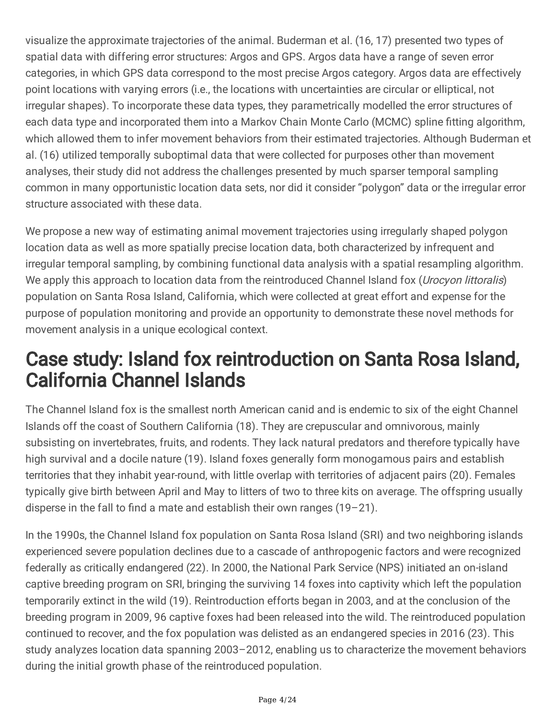visualize the approximate trajectories of the animal. Buderman et al. (16, 17) presented two types of spatial data with differing error structures: Argos and GPS. Argos data have a range of seven error categories, in which GPS data correspond to the most precise Argos category. Argos data are effectively point locations with varying errors (i.e., the locations with uncertainties are circular or elliptical, not irregular shapes). To incorporate these data types, they parametrically modelled the error structures of each data type and incorporated them into a Markov Chain Monte Carlo (MCMC) spline fitting algorithm, which allowed them to infer movement behaviors from their estimated trajectories. Although Buderman et al. (16) utilized temporally suboptimal data that were collected for purposes other than movement analyses, their study did not address the challenges presented by much sparser temporal sampling common in many opportunistic location data sets, nor did it consider "polygon" data or the irregular error structure associated with these data.

We propose a new way of estimating animal movement trajectories using irregularly shaped polygon location data as well as more spatially precise location data, both characterized by infrequent and irregular temporal sampling, by combining functional data analysis with a spatial resampling algorithm. We apply this approach to location data from the reintroduced Channel Island fox (*Urocyon littoralis*) population on Santa Rosa Island, California, which were collected at great effort and expense for the purpose of population monitoring and provide an opportunity to demonstrate these novel methods for movement analysis in a unique ecological context.

## Case study: Island fox reintroduction on Santa Rosa Island, California Channel Islands

The Channel Island fox is the smallest north American canid and is endemic to six of the eight Channel Islands off the coast of Southern California (18). They are crepuscular and omnivorous, mainly subsisting on invertebrates, fruits, and rodents. They lack natural predators and therefore typically have high survival and a docile nature (19). Island foxes generally form monogamous pairs and establish territories that they inhabit year-round, with little overlap with territories of adjacent pairs (20). Females typically give birth between April and May to litters of two to three kits on average. The offspring usually disperse in the fall to find a mate and establish their own ranges (19–21).

In the 1990s, the Channel Island fox population on Santa Rosa Island (SRI) and two neighboring islands experienced severe population declines due to a cascade of anthropogenic factors and were recognized federally as critically endangered (22). In 2000, the National Park Service (NPS) initiated an on-island captive breeding program on SRI, bringing the surviving 14 foxes into captivity which left the population temporarily extinct in the wild (19). Reintroduction efforts began in 2003, and at the conclusion of the breeding program in 2009, 96 captive foxes had been released into the wild. The reintroduced population continued to recover, and the fox population was delisted as an endangered species in 2016 (23). This study analyzes location data spanning 2003–2012, enabling us to characterize the movement behaviors during the initial growth phase of the reintroduced population.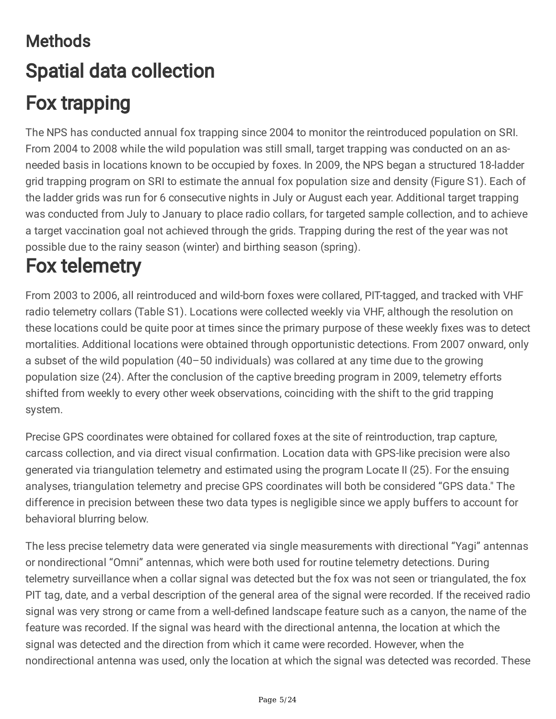# **Methods** Spatial data collection Fox trapping

The NPS has conducted annual fox trapping since 2004 to monitor the reintroduced population on SRI. From 2004 to 2008 while the wild population was still small, target trapping was conducted on an asneeded basis in locations known to be occupied by foxes. In 2009, the NPS began a structured 18-ladder grid trapping program on SRI to estimate the annual fox population size and density (Figure S1). Each of the ladder grids was run for 6 consecutive nights in July or August each year. Additional target trapping was conducted from July to January to place radio collars, for targeted sample collection, and to achieve a target vaccination goal not achieved through the grids. Trapping during the rest of the year was not possible due to the rainy season (winter) and birthing season (spring).

## Fox telemetry

From 2003 to 2006, all reintroduced and wild-born foxes were collared, PIT-tagged, and tracked with VHF radio telemetry collars (Table S1). Locations were collected weekly via VHF, although the resolution on these locations could be quite poor at times since the primary purpose of these weekly fixes was to detect mortalities. Additional locations were obtained through opportunistic detections. From 2007 onward, only a subset of the wild population (40–50 individuals) was collared at any time due to the growing population size (24). After the conclusion of the captive breeding program in 2009, telemetry efforts shifted from weekly to every other week observations, coinciding with the shift to the grid trapping system.

Precise GPS coordinates were obtained for collared foxes at the site of reintroduction, trap capture, carcass collection, and via direct visual confirmation. Location data with GPS-like precision were also generated via triangulation telemetry and estimated using the program Locate II (25). For the ensuing analyses, triangulation telemetry and precise GPS coordinates will both be considered "GPS data." The difference in precision between these two data types is negligible since we apply buffers to account for behavioral blurring below.

The less precise telemetry data were generated via single measurements with directional "Yagi" antennas or nondirectional "Omni" antennas, which were both used for routine telemetry detections. During telemetry surveillance when a collar signal was detected but the fox was not seen or triangulated, the fox PIT tag, date, and a verbal description of the general area of the signal were recorded. If the received radio signal was very strong or came from a well-defined landscape feature such as a canyon, the name of the feature was recorded. If the signal was heard with the directional antenna, the location at which the signal was detected and the direction from which it came were recorded. However, when the nondirectional antenna was used, only the location at which the signal was detected was recorded. These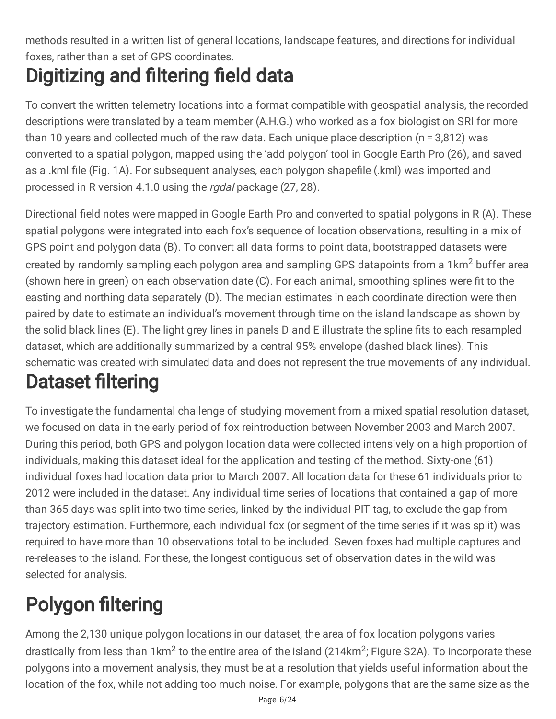methods resulted in a written list of general locations, landscape features, and directions for individual foxes, rather than a set of GPS coordinates.

# Digitizing and filtering field data

To convert the written telemetry locations into a format compatible with geospatial analysis, the recorded descriptions were translated by a team member (A.H.G.) who worked as a fox biologist on SRI for more than 10 years and collected much of the raw data. Each unique place description (n = 3,812) was converted to a spatial polygon, mapped using the 'add polygon' tool in Google Earth Pro (26), and saved as a .kml file (Fig. 1A). For subsequent analyses, each polygon shapefile (.kml) was imported and processed in R version 4.1.0 using the *rgdal* package (27, 28).

Directional field notes were mapped in Google Earth Pro and converted to spatial polygons in R (A). These spatial polygons were integrated into each fox's sequence of location observations, resulting in a mix of GPS point and polygon data (B). To convert all data forms to point data, bootstrapped datasets were created by randomly sampling each polygon area and sampling GPS datapoints from a 1km<sup>2</sup> buffer area (shown here in green) on each observation date (C). For each animal, smoothing splines were fit to the easting and northing data separately (D). The median estimates in each coordinate direction were then paired by date to estimate an individual's movement through time on the island landscape as shown by the solid black lines (E). The light grey lines in panels D and E illustrate the spline fits to each resampled dataset, which are additionally summarized by a central 95% envelope (dashed black lines). This schematic was created with simulated data and does not represent the true movements of any individual.

# Dataset filtering

To investigate the fundamental challenge of studying movement from a mixed spatial resolution dataset, we focused on data in the early period of fox reintroduction between November 2003 and March 2007. During this period, both GPS and polygon location data were collected intensively on a high proportion of individuals, making this dataset ideal for the application and testing of the method. Sixty-one (61) individual foxes had location data prior to March 2007. All location data for these 61 individuals prior to 2012 were included in the dataset. Any individual time series of locations that contained a gap of more than 365 days was split into two time series, linked by the individual PIT tag, to exclude the gap from trajectory estimation. Furthermore, each individual fox (or segment of the time series if it was split) was required to have more than 10 observations total to be included. Seven foxes had multiple captures and re-releases to the island. For these, the longest contiguous set of observation dates in the wild was selected for analysis.

# Polygon filtering

Among the 2,130 unique polygon locations in our dataset, the area of fox location polygons varies drastically from less than 1km<sup>2</sup> to the entire area of the island (214km<sup>2</sup>; Figure S2A). To incorporate these polygons into a movement analysis, they must be at a resolution that yields useful information about the location of the fox, while not adding too much noise. For example, polygons that are the same size as the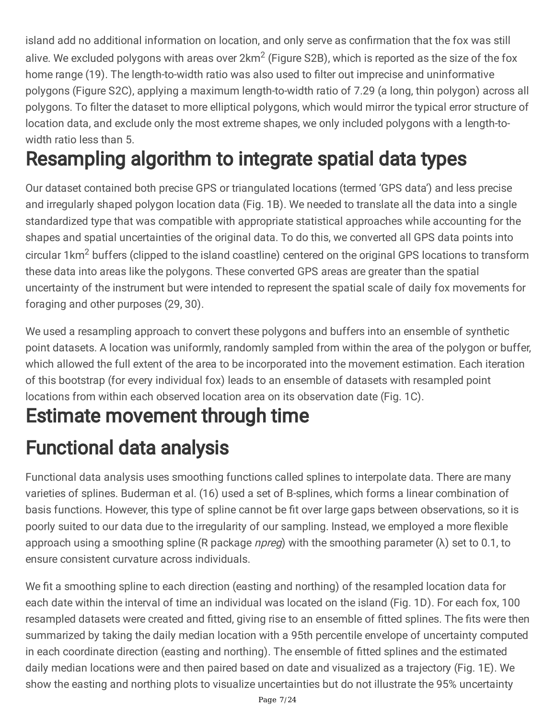island add no additional information on location, and only serve as confirmation that the fox was still alive. We excluded polygons with areas over  $2km^2$  (Figure S2B), which is reported as the size of the fox home range (19). The length-to-width ratio was also used to filter out imprecise and uninformative polygons (Figure S2C), applying a maximum length-to-width ratio of 7.29 (a long, thin polygon) across all polygons. To filter the dataset to more elliptical polygons, which would mirror the typical error structure of location data, and exclude only the most extreme shapes, we only included polygons with a length-towidth ratio less than 5.

# Resampling algorithm to integrate spatial data types

Our dataset contained both precise GPS or triangulated locations (termed 'GPS data') and less precise and irregularly shaped polygon location data (Fig. 1B). We needed to translate all the data into a single standardized type that was compatible with appropriate statistical approaches while accounting for the shapes and spatial uncertainties of the original data. To do this, we converted all GPS data points into circular 1km<sup>2</sup> buffers (clipped to the island coastline) centered on the original GPS locations to transform these data into areas like the polygons. These converted GPS areas are greater than the spatial uncertainty of the instrument but were intended to represent the spatial scale of daily fox movements for foraging and other purposes (29, 30).

We used a resampling approach to convert these polygons and buffers into an ensemble of synthetic point datasets. A location was uniformly, randomly sampled from within the area of the polygon or buffer, which allowed the full extent of the area to be incorporated into the movement estimation. Each iteration of this bootstrap (for every individual fox) leads to an ensemble of datasets with resampled point locations from within each observed location area on its observation date (Fig. 1C).

## Estimate movement through time

# Functional data analysis

Functional data analysis uses smoothing functions called splines to interpolate data. There are many varieties of splines. Buderman et al. (16) used a set of B-splines, which forms a linear combination of basis functions. However, this type of spline cannot be fit over large gaps between observations, so it is poorly suited to our data due to the irregularity of our sampling. Instead, we employed a more flexible approach using a smoothing spline (R package *npreg*) with the smoothing parameter ( $\lambda$ ) set to 0.1, to ensure consistent curvature across individuals.

We fit a smoothing spline to each direction (easting and northing) of the resampled location data for each date within the interval of time an individual was located on the island (Fig. 1D). For each fox, 100 resampled datasets were created and fitted, giving rise to an ensemble of fitted splines. The fits were then summarized by taking the daily median location with a 95th percentile envelope of uncertainty computed in each coordinate direction (easting and northing). The ensemble of fitted splines and the estimated daily median locations were and then paired based on date and visualized as a trajectory (Fig. 1E). We show the easting and northing plots to visualize uncertainties but do not illustrate the 95% uncertainty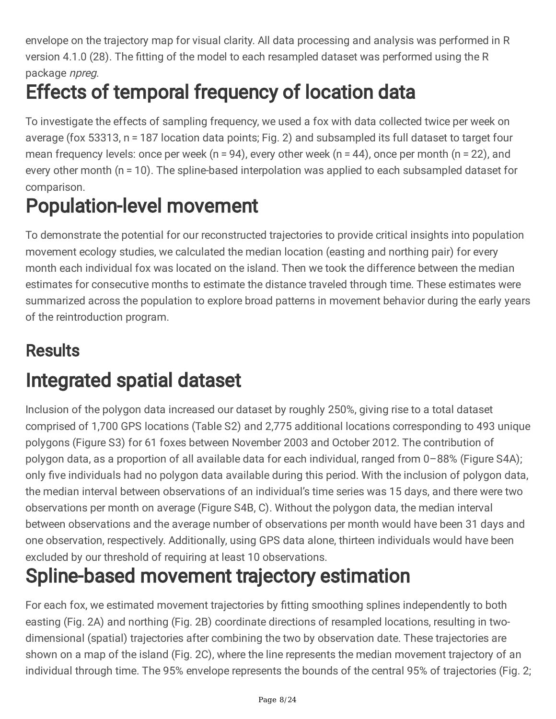envelope on the trajectory map for visual clarity. All data processing and analysis was performed in R version 4.1.0 (28). The fitting of the model to each resampled dataset was performed using the R package npreg.

# Effects of temporal frequency of location data

To investigate the effects of sampling frequency, we used a fox with data collected twice per week on average (fox 53313, n = 187 location data points; Fig. 2) and subsampled its full dataset to target four mean frequency levels: once per week (n = 94), every other week (n = 44), once per month (n = 22), and every other month (n = 10). The spline-based interpolation was applied to each subsampled dataset for comparison.

## Population-level movement

To demonstrate the potential for our reconstructed trajectories to provide critical insights into population movement ecology studies, we calculated the median location (easting and northing pair) for every month each individual fox was located on the island. Then we took the difference between the median estimates for consecutive months to estimate the distance traveled through time. These estimates were summarized across the population to explore broad patterns in movement behavior during the early years of the reintroduction program.

## **Results**

## Integrated spatial dataset

Inclusion of the polygon data increased our dataset by roughly 250%, giving rise to a total dataset comprised of 1,700 GPS locations (Table S2) and 2,775 additional locations corresponding to 493 unique polygons (Figure S3) for 61 foxes between November 2003 and October 2012. The contribution of polygon data, as a proportion of all available data for each individual, ranged from 0–88% (Figure S4A); only five individuals had no polygon data available during this period. With the inclusion of polygon data, the median interval between observations of an individual's time series was 15 days, and there were two observations per month on average (Figure S4B, C). Without the polygon data, the median interval between observations and the average number of observations per month would have been 31 days and one observation, respectively. Additionally, using GPS data alone, thirteen individuals would have been excluded by our threshold of requiring at least 10 observations.

## Spline-based movement trajectory estimation

For each fox, we estimated movement trajectories by fitting smoothing splines independently to both easting (Fig. 2A) and northing (Fig. 2B) coordinate directions of resampled locations, resulting in twodimensional (spatial) trajectories after combining the two by observation date. These trajectories are shown on a map of the island (Fig. 2C), where the line represents the median movement trajectory of an individual through time. The 95% envelope represents the bounds of the central 95% of trajectories (Fig. 2;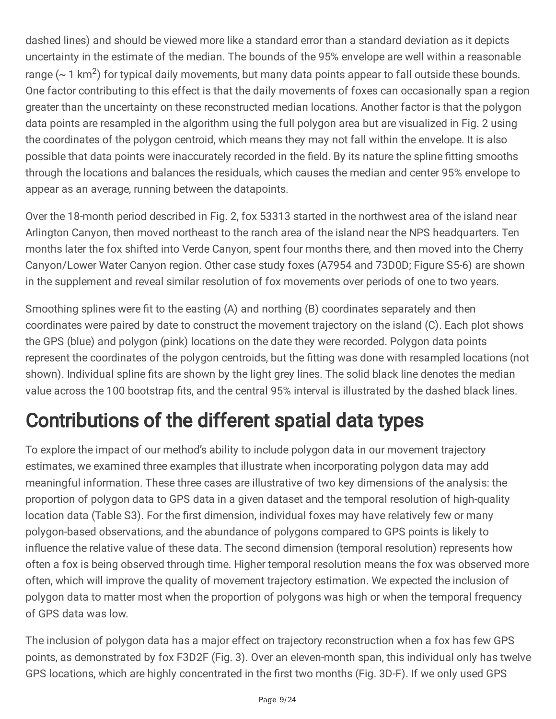dashed lines) and should be viewed more like a standard error than a standard deviation as it depicts uncertainty in the estimate of the median. The bounds of the 95% envelope are well within a reasonable range ( $\sim$  1 km<sup>2</sup>) for typical daily movements, but many data points appear to fall outside these bounds. One factor contributing to this effect is that the daily movements of foxes can occasionally span a region greater than the uncertainty on these reconstructed median locations. Another factor is that the polygon data points are resampled in the algorithm using the full polygon area but are visualized in Fig. 2 using the coordinates of the polygon centroid, which means they may not fall within the envelope. It is also possible that data points were inaccurately recorded in the field. By its nature the spline fitting smooths through the locations and balances the residuals, which causes the median and center 95% envelope to appear as an average, running between the datapoints.

Over the 18-month period described in Fig. 2, fox 53313 started in the northwest area of the island near Arlington Canyon, then moved northeast to the ranch area of the island near the NPS headquarters. Ten months later the fox shifted into Verde Canyon, spent four months there, and then moved into the Cherry Canyon/Lower Water Canyon region. Other case study foxes (A7954 and 73D0D; Figure S5-6) are shown in the supplement and reveal similar resolution of fox movements over periods of one to two years.

Smoothing splines were fit to the easting (A) and northing (B) coordinates separately and then coordinates were paired by date to construct the movement trajectory on the island (C). Each plot shows the GPS (blue) and polygon (pink) locations on the date they were recorded. Polygon data points represent the coordinates of the polygon centroids, but the fitting was done with resampled locations (not shown). Individual spline fits are shown by the light grey lines. The solid black line denotes the median value across the 100 bootstrap fits, and the central 95% interval is illustrated by the dashed black lines.

# Contributions of the different spatial data types

To explore the impact of our method's ability to include polygon data in our movement trajectory estimates, we examined three examples that illustrate when incorporating polygon data may add meaningful information. These three cases are illustrative of two key dimensions of the analysis: the proportion of polygon data to GPS data in a given dataset and the temporal resolution of high-quality location data (Table S3). For the first dimension, individual foxes may have relatively few or many polygon-based observations, and the abundance of polygons compared to GPS points is likely to influence the relative value of these data. The second dimension (temporal resolution) represents how often a fox is being observed through time. Higher temporal resolution means the fox was observed more often, which will improve the quality of movement trajectory estimation. We expected the inclusion of polygon data to matter most when the proportion of polygons was high or when the temporal frequency of GPS data was low.

The inclusion of polygon data has a major effect on trajectory reconstruction when a fox has few GPS points, as demonstrated by fox F3D2F (Fig. 3). Over an eleven-month span, this individual only has twelve GPS locations, which are highly concentrated in the first two months (Fig. 3D-F). If we only used GPS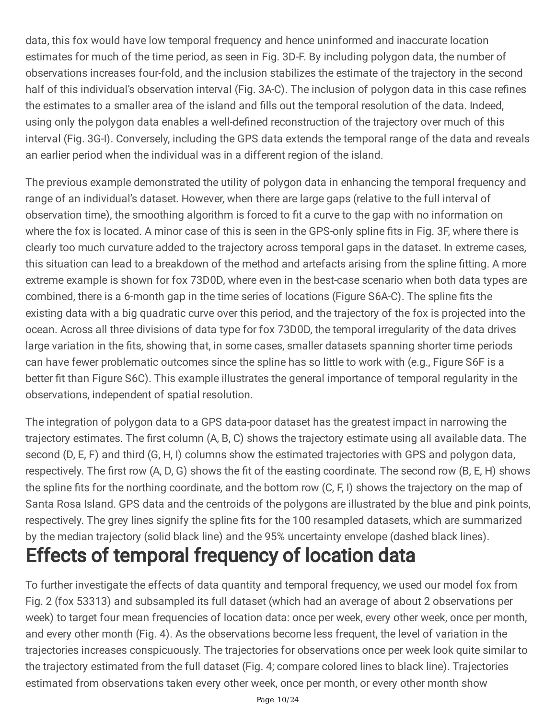data, this fox would have low temporal frequency and hence uninformed and inaccurate location estimates for much of the time period, as seen in Fig. 3D-F. By including polygon data, the number of observations increases four-fold, and the inclusion stabilizes the estimate of the trajectory in the second half of this individual's observation interval (Fig. 3A-C). The inclusion of polygon data in this case refines the estimates to a smaller area of the island and fills out the temporal resolution of the data. Indeed, using only the polygon data enables a well-defined reconstruction of the trajectory over much of this interval (Fig. 3G-I). Conversely, including the GPS data extends the temporal range of the data and reveals an earlier period when the individual was in a different region of the island.

The previous example demonstrated the utility of polygon data in enhancing the temporal frequency and range of an individual's dataset. However, when there are large gaps (relative to the full interval of observation time), the smoothing algorithm is forced to fit a curve to the gap with no information on where the fox is located. A minor case of this is seen in the GPS-only spline fits in Fig. 3F, where there is clearly too much curvature added to the trajectory across temporal gaps in the dataset. In extreme cases, this situation can lead to a breakdown of the method and artefacts arising from the spline fitting. A more extreme example is shown for fox 73D0D, where even in the best-case scenario when both data types are combined, there is a 6-month gap in the time series of locations (Figure S6A-C). The spline fits the existing data with a big quadratic curve over this period, and the trajectory of the fox is projected into the ocean. Across all three divisions of data type for fox 73D0D, the temporal irregularity of the data drives large variation in the fits, showing that, in some cases, smaller datasets spanning shorter time periods can have fewer problematic outcomes since the spline has so little to work with (e.g., Figure S6F is a better fit than Figure S6C). This example illustrates the general importance of temporal regularity in the observations, independent of spatial resolution.

The integration of polygon data to a GPS data-poor dataset has the greatest impact in narrowing the trajectory estimates. The first column (A, B, C) shows the trajectory estimate using all available data. The second (D, E, F) and third (G, H, I) columns show the estimated trajectories with GPS and polygon data, respectively. The first row (A, D, G) shows the fit of the easting coordinate. The second row (B, E, H) shows the spline fits for the northing coordinate, and the bottom row (C, F, I) shows the trajectory on the map of Santa Rosa Island. GPS data and the centroids of the polygons are illustrated by the blue and pink points, respectively. The grey lines signify the spline fits for the 100 resampled datasets, which are summarized by the median trajectory (solid black line) and the 95% uncertainty envelope (dashed black lines).

# Effects of temporal frequency of location data

To further investigate the effects of data quantity and temporal frequency, we used our model fox from Fig. 2 (fox 53313) and subsampled its full dataset (which had an average of about 2 observations per week) to target four mean frequencies of location data: once per week, every other week, once per month, and every other month (Fig. 4). As the observations become less frequent, the level of variation in the trajectories increases conspicuously. The trajectories for observations once per week look quite similar to the trajectory estimated from the full dataset (Fig. 4; compare colored lines to black line). Trajectories estimated from observations taken every other week, once per month, or every other month show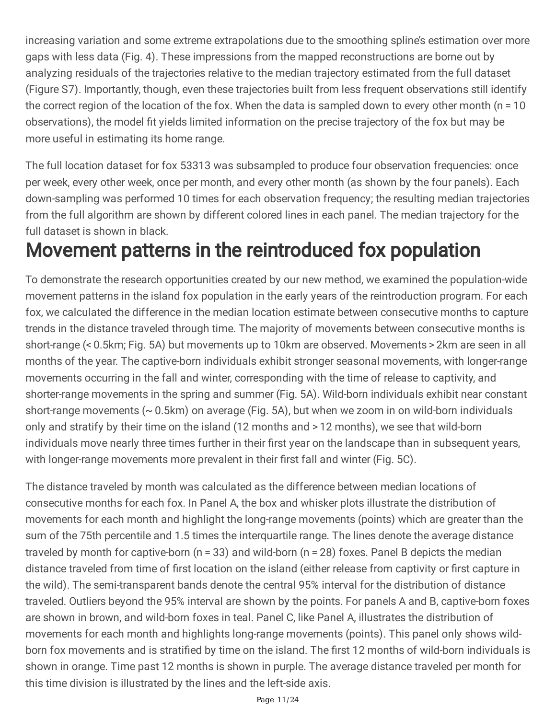increasing variation and some extreme extrapolations due to the smoothing spline's estimation over more gaps with less data (Fig. 4). These impressions from the mapped reconstructions are borne out by analyzing residuals of the trajectories relative to the median trajectory estimated from the full dataset (Figure S7). Importantly, though, even these trajectories built from less frequent observations still identify the correct region of the location of the fox. When the data is sampled down to every other month (n = 10 observations), the model fit yields limited information on the precise trajectory of the fox but may be more useful in estimating its home range.

The full location dataset for fox 53313 was subsampled to produce four observation frequencies: once per week, every other week, once per month, and every other month (as shown by the four panels). Each down-sampling was performed 10 times for each observation frequency; the resulting median trajectories from the full algorithm are shown by different colored lines in each panel. The median trajectory for the full dataset is shown in black.

## Movement patterns in the reintroduced fox population

To demonstrate the research opportunities created by our new method, we examined the population-wide movement patterns in the island fox population in the early years of the reintroduction program. For each fox, we calculated the difference in the median location estimate between consecutive months to capture trends in the distance traveled through time. The majority of movements between consecutive months is short-range (< 0.5km; Fig. 5A) but movements up to 10km are observed. Movements > 2km are seen in all months of the year. The captive-born individuals exhibit stronger seasonal movements, with longer-range movements occurring in the fall and winter, corresponding with the time of release to captivity, and shorter-range movements in the spring and summer (Fig. 5A). Wild-born individuals exhibit near constant short-range movements (~ 0.5km) on average (Fig. 5A), but when we zoom in on wild-born individuals only and stratify by their time on the island (12 months and > 12 months), we see that wild-born individuals move nearly three times further in their first year on the landscape than in subsequent years, with longer-range movements more prevalent in their first fall and winter (Fig. 5C).

The distance traveled by month was calculated as the difference between median locations of consecutive months for each fox. In Panel A, the box and whisker plots illustrate the distribution of movements for each month and highlight the long-range movements (points) which are greater than the sum of the 75th percentile and 1.5 times the interquartile range. The lines denote the average distance traveled by month for captive-born (n = 33) and wild-born (n = 28) foxes. Panel B depicts the median distance traveled from time of first location on the island (either release from captivity or first capture in the wild). The semi-transparent bands denote the central 95% interval for the distribution of distance traveled. Outliers beyond the 95% interval are shown by the points. For panels A and B, captive-born foxes are shown in brown, and wild-born foxes in teal. Panel C, like Panel A, illustrates the distribution of movements for each month and highlights long-range movements (points). This panel only shows wildborn fox movements and is stratified by time on the island. The first 12 months of wild-born individuals is shown in orange. Time past 12 months is shown in purple. The average distance traveled per month for this time division is illustrated by the lines and the left-side axis.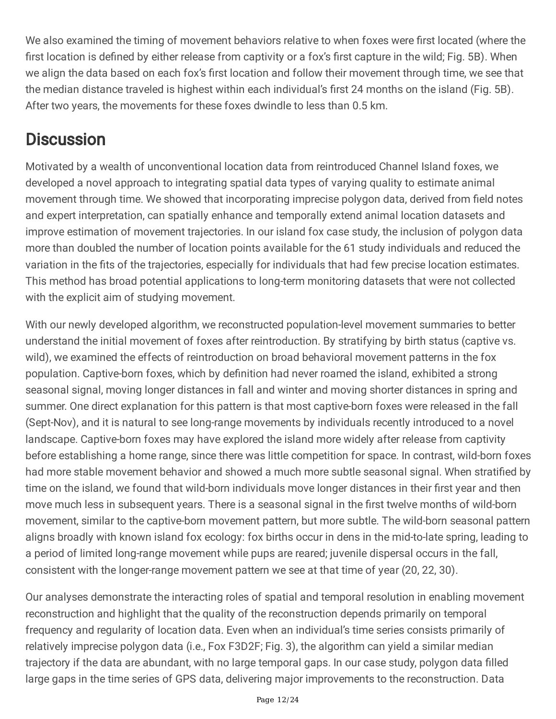We also examined the timing of movement behaviors relative to when foxes were first located (where the first location is defined by either release from captivity or a fox's first capture in the wild; Fig. 5B). When we align the data based on each fox's first location and follow their movement through time, we see that the median distance traveled is highest within each individual's first 24 months on the island (Fig. 5B). After two years, the movements for these foxes dwindle to less than 0.5 km.

### **Discussion**

Motivated by a wealth of unconventional location data from reintroduced Channel Island foxes, we developed a novel approach to integrating spatial data types of varying quality to estimate animal movement through time. We showed that incorporating imprecise polygon data, derived from field notes and expert interpretation, can spatially enhance and temporally extend animal location datasets and improve estimation of movement trajectories. In our island fox case study, the inclusion of polygon data more than doubled the number of location points available for the 61 study individuals and reduced the variation in the fits of the trajectories, especially for individuals that had few precise location estimates. This method has broad potential applications to long-term monitoring datasets that were not collected with the explicit aim of studying movement.

With our newly developed algorithm, we reconstructed population-level movement summaries to better understand the initial movement of foxes after reintroduction. By stratifying by birth status (captive vs. wild), we examined the effects of reintroduction on broad behavioral movement patterns in the fox population. Captive-born foxes, which by definition had never roamed the island, exhibited a strong seasonal signal, moving longer distances in fall and winter and moving shorter distances in spring and summer. One direct explanation for this pattern is that most captive-born foxes were released in the fall (Sept-Nov), and it is natural to see long-range movements by individuals recently introduced to a novel landscape. Captive-born foxes may have explored the island more widely after release from captivity before establishing a home range, since there was little competition for space. In contrast, wild-born foxes had more stable movement behavior and showed a much more subtle seasonal signal. When stratified by time on the island, we found that wild-born individuals move longer distances in their first year and then move much less in subsequent years. There is a seasonal signal in the first twelve months of wild-born movement, similar to the captive-born movement pattern, but more subtle. The wild-born seasonal pattern aligns broadly with known island fox ecology: fox births occur in dens in the mid-to-late spring, leading to a period of limited long-range movement while pups are reared; juvenile dispersal occurs in the fall, consistent with the longer-range movement pattern we see at that time of year (20, 22, 30).

Our analyses demonstrate the interacting roles of spatial and temporal resolution in enabling movement reconstruction and highlight that the quality of the reconstruction depends primarily on temporal frequency and regularity of location data. Even when an individual's time series consists primarily of relatively imprecise polygon data (i.e., Fox F3D2F; Fig. 3), the algorithm can yield a similar median trajectory if the data are abundant, with no large temporal gaps. In our case study, polygon data filled large gaps in the time series of GPS data, delivering major improvements to the reconstruction. Data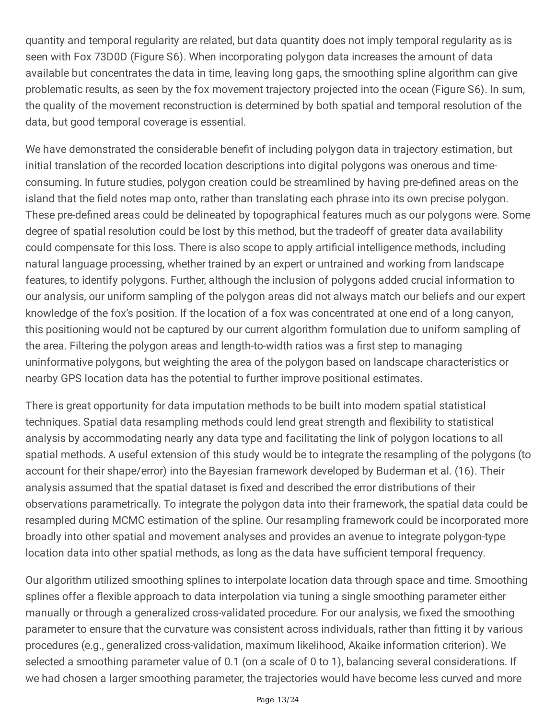quantity and temporal regularity are related, but data quantity does not imply temporal regularity as is seen with Fox 73D0D (Figure S6). When incorporating polygon data increases the amount of data available but concentrates the data in time, leaving long gaps, the smoothing spline algorithm can give problematic results, as seen by the fox movement trajectory projected into the ocean (Figure S6). In sum, the quality of the movement reconstruction is determined by both spatial and temporal resolution of the data, but good temporal coverage is essential.

We have demonstrated the considerable benefit of including polygon data in trajectory estimation, but initial translation of the recorded location descriptions into digital polygons was onerous and timeconsuming. In future studies, polygon creation could be streamlined by having pre-defined areas on the island that the field notes map onto, rather than translating each phrase into its own precise polygon. These pre-defined areas could be delineated by topographical features much as our polygons were. Some degree of spatial resolution could be lost by this method, but the tradeoff of greater data availability could compensate for this loss. There is also scope to apply artificial intelligence methods, including natural language processing, whether trained by an expert or untrained and working from landscape features, to identify polygons. Further, although the inclusion of polygons added crucial information to our analysis, our uniform sampling of the polygon areas did not always match our beliefs and our expert knowledge of the fox's position. If the location of a fox was concentrated at one end of a long canyon, this positioning would not be captured by our current algorithm formulation due to uniform sampling of the area. Filtering the polygon areas and length-to-width ratios was a first step to managing uninformative polygons, but weighting the area of the polygon based on landscape characteristics or nearby GPS location data has the potential to further improve positional estimates.

There is great opportunity for data imputation methods to be built into modern spatial statistical techniques. Spatial data resampling methods could lend great strength and flexibility to statistical analysis by accommodating nearly any data type and facilitating the link of polygon locations to all spatial methods. A useful extension of this study would be to integrate the resampling of the polygons (to account for their shape/error) into the Bayesian framework developed by Buderman et al. (16). Their analysis assumed that the spatial dataset is fixed and described the error distributions of their observations parametrically. To integrate the polygon data into their framework, the spatial data could be resampled during MCMC estimation of the spline. Our resampling framework could be incorporated more broadly into other spatial and movement analyses and provides an avenue to integrate polygon-type location data into other spatial methods, as long as the data have sufficient temporal frequency.

Our algorithm utilized smoothing splines to interpolate location data through space and time. Smoothing splines offer a flexible approach to data interpolation via tuning a single smoothing parameter either manually or through a generalized cross-validated procedure. For our analysis, we fixed the smoothing parameter to ensure that the curvature was consistent across individuals, rather than fitting it by various procedures (e.g., generalized cross-validation, maximum likelihood, Akaike information criterion). We selected a smoothing parameter value of 0.1 (on a scale of 0 to 1), balancing several considerations. If we had chosen a larger smoothing parameter, the trajectories would have become less curved and more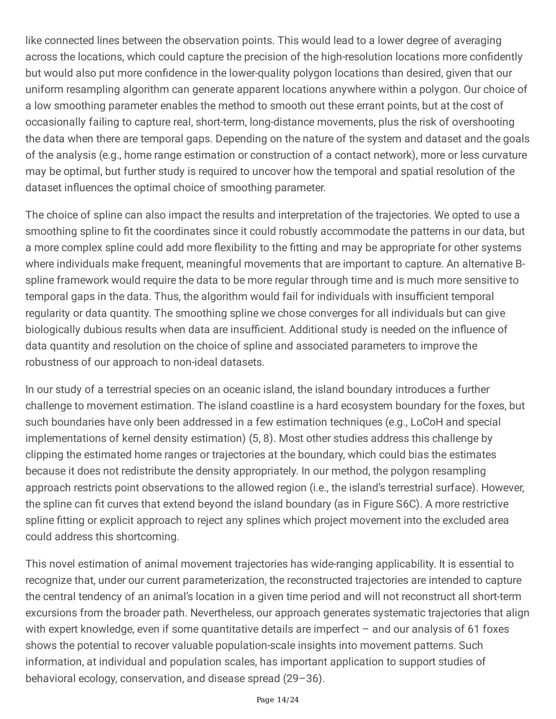like connected lines between the observation points. This would lead to a lower degree of averaging across the locations, which could capture the precision of the high-resolution locations more confidently but would also put more confidence in the lower-quality polygon locations than desired, given that our uniform resampling algorithm can generate apparent locations anywhere within a polygon. Our choice of a low smoothing parameter enables the method to smooth out these errant points, but at the cost of occasionally failing to capture real, short-term, long-distance movements, plus the risk of overshooting the data when there are temporal gaps. Depending on the nature of the system and dataset and the goals of the analysis (e.g., home range estimation or construction of a contact network), more or less curvature may be optimal, but further study is required to uncover how the temporal and spatial resolution of the dataset influences the optimal choice of smoothing parameter.

The choice of spline can also impact the results and interpretation of the trajectories. We opted to use a smoothing spline to fit the coordinates since it could robustly accommodate the patterns in our data, but a more complex spline could add more flexibility to the fitting and may be appropriate for other systems where individuals make frequent, meaningful movements that are important to capture. An alternative Bspline framework would require the data to be more regular through time and is much more sensitive to temporal gaps in the data. Thus, the algorithm would fail for individuals with insufficient temporal regularity or data quantity. The smoothing spline we chose converges for all individuals but can give biologically dubious results when data are insufficient. Additional study is needed on the influence of data quantity and resolution on the choice of spline and associated parameters to improve the robustness of our approach to non-ideal datasets.

In our study of a terrestrial species on an oceanic island, the island boundary introduces a further challenge to movement estimation. The island coastline is a hard ecosystem boundary for the foxes, but such boundaries have only been addressed in a few estimation techniques (e.g., LoCoH and special implementations of kernel density estimation) (5, 8). Most other studies address this challenge by clipping the estimated home ranges or trajectories at the boundary, which could bias the estimates because it does not redistribute the density appropriately. In our method, the polygon resampling approach restricts point observations to the allowed region (i.e., the island's terrestrial surface). However, the spline can fit curves that extend beyond the island boundary (as in Figure S6C). A more restrictive spline fitting or explicit approach to reject any splines which project movement into the excluded area could address this shortcoming.

This novel estimation of animal movement trajectories has wide-ranging applicability. It is essential to recognize that, under our current parameterization, the reconstructed trajectories are intended to capture the central tendency of an animal's location in a given time period and will not reconstruct all short-term excursions from the broader path. Nevertheless, our approach generates systematic trajectories that align with expert knowledge, even if some quantitative details are imperfect – and our analysis of 61 foxes shows the potential to recover valuable population-scale insights into movement patterns. Such information, at individual and population scales, has important application to support studies of behavioral ecology, conservation, and disease spread (29–36).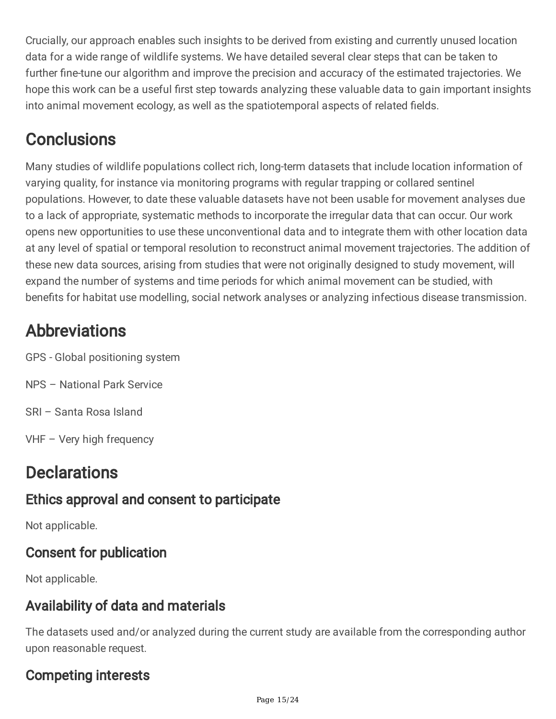Crucially, our approach enables such insights to be derived from existing and currently unused location data for a wide range of wildlife systems. We have detailed several clear steps that can be taken to further fine-tune our algorithm and improve the precision and accuracy of the estimated trajectories. We hope this work can be a useful first step towards analyzing these valuable data to gain important insights into animal movement ecology, as well as the spatiotemporal aspects of related fields.

## **Conclusions**

Many studies of wildlife populations collect rich, long-term datasets that include location information of varying quality, for instance via monitoring programs with regular trapping or collared sentinel populations. However, to date these valuable datasets have not been usable for movement analyses due to a lack of appropriate, systematic methods to incorporate the irregular data that can occur. Our work opens new opportunities to use these unconventional data and to integrate them with other location data at any level of spatial or temporal resolution to reconstruct animal movement trajectories. The addition of these new data sources, arising from studies that were not originally designed to study movement, will expand the number of systems and time periods for which animal movement can be studied, with benefits for habitat use modelling, social network analyses or analyzing infectious disease transmission.

## Abbreviations

- GPS Global positioning system
- NPS National Park Service
- SRI Santa Rosa Island
- VHF Very high frequency

## **Declarations**

### Ethics approval and consent to participate

Not applicable.

#### Consent for publication

Not applicable.

#### Availability of data and materials

The datasets used and/or analyzed during the current study are available from the corresponding author upon reasonable request.

### Competing interests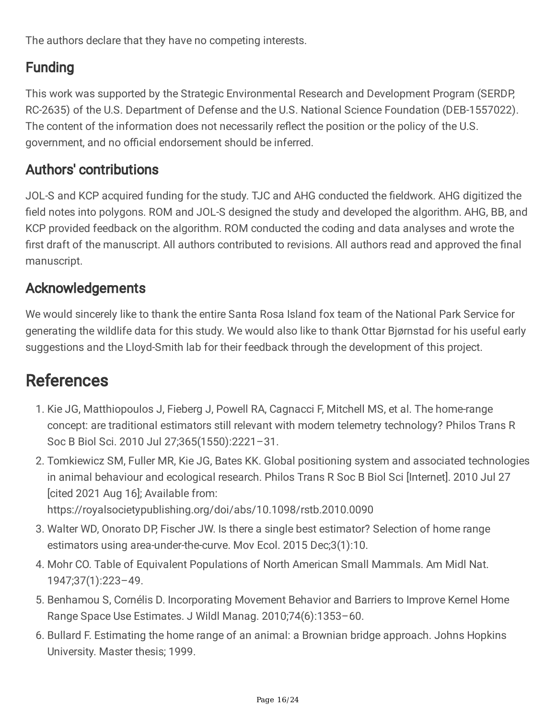The authors declare that they have no competing interests.

#### Funding

This work was supported by the Strategic Environmental Research and Development Program (SERDP, RC-2635) of the U.S. Department of Defense and the U.S. National Science Foundation (DEB-1557022). The content of the information does not necessarily reflect the position or the policy of the U.S. government, and no official endorsement should be inferred.

#### Authors' contributions

JOL-S and KCP acquired funding for the study. TJC and AHG conducted the fieldwork. AHG digitized the field notes into polygons. ROM and JOL-S designed the study and developed the algorithm. AHG, BB, and KCP provided feedback on the algorithm. ROM conducted the coding and data analyses and wrote the first draft of the manuscript. All authors contributed to revisions. All authors read and approved the final manuscript.

#### Acknowledgements

We would sincerely like to thank the entire Santa Rosa Island fox team of the National Park Service for generating the wildlife data for this study. We would also like to thank Ottar Bjørnstad for his useful early suggestions and the Lloyd-Smith lab for their feedback through the development of this project.

### **References**

- 1. Kie JG, Matthiopoulos J, Fieberg J, Powell RA, Cagnacci F, Mitchell MS, et al. The home-range concept: are traditional estimators still relevant with modern telemetry technology? Philos Trans R Soc B Biol Sci. 2010 Jul 27;365(1550):2221–31.
- 2. Tomkiewicz SM, Fuller MR, Kie JG, Bates KK. Global positioning system and associated technologies in animal behaviour and ecological research. Philos Trans R Soc B Biol Sci [Internet]. 2010 Jul 27 [cited 2021 Aug 16]; Available from:

https://royalsocietypublishing.org/doi/abs/10.1098/rstb.2010.0090

- 3. Walter WD, Onorato DP, Fischer JW. Is there a single best estimator? Selection of home range estimators using area-under-the-curve. Mov Ecol. 2015 Dec;3(1):10.
- 4. Mohr CO. Table of Equivalent Populations of North American Small Mammals. Am Midl Nat. 1947;37(1):223–49.
- 5. Benhamou S, Cornélis D. Incorporating Movement Behavior and Barriers to Improve Kernel Home Range Space Use Estimates. J Wildl Manag. 2010;74(6):1353–60.
- 6. Bullard F. Estimating the home range of an animal: a Brownian bridge approach. Johns Hopkins University. Master thesis; 1999.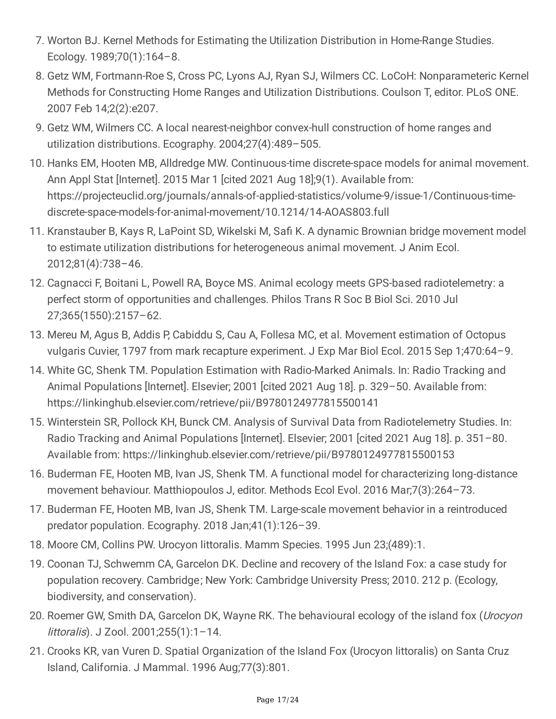- 7. Worton BJ. Kernel Methods for Estimating the Utilization Distribution in Home-Range Studies. Ecology. 1989;70(1):164–8.
- 8. Getz WM, Fortmann-Roe S, Cross PC, Lyons AJ, Ryan SJ, Wilmers CC. LoCoH: Nonparameteric Kernel Methods for Constructing Home Ranges and Utilization Distributions. Coulson T, editor. PLoS ONE. 2007 Feb 14;2(2):e207.
- 9. Getz WM, Wilmers CC. A local nearest-neighbor convex-hull construction of home ranges and utilization distributions. Ecography. 2004;27(4):489–505.
- 10. Hanks EM, Hooten MB, Alldredge MW. Continuous-time discrete-space models for animal movement. Ann Appl Stat [Internet]. 2015 Mar 1 [cited 2021 Aug 18];9(1). Available from: https://projecteuclid.org/journals/annals-of-applied-statistics/volume-9/issue-1/Continuous-timediscrete-space-models-for-animal-movement/10.1214/14-AOAS803.full
- 11. Kranstauber B, Kays R, LaPoint SD, Wikelski M, Safi K. A dynamic Brownian bridge movement model to estimate utilization distributions for heterogeneous animal movement. J Anim Ecol. 2012;81(4):738–46.
- 12. Cagnacci F, Boitani L, Powell RA, Boyce MS. Animal ecology meets GPS-based radiotelemetry: a perfect storm of opportunities and challenges. Philos Trans R Soc B Biol Sci. 2010 Jul 27;365(1550):2157–62.
- 13. Mereu M, Agus B, Addis P, Cabiddu S, Cau A, Follesa MC, et al. Movement estimation of Octopus vulgaris Cuvier, 1797 from mark recapture experiment. J Exp Mar Biol Ecol. 2015 Sep 1;470:64–9.
- 14. White GC, Shenk TM. Population Estimation with Radio-Marked Animals. In: Radio Tracking and Animal Populations [Internet]. Elsevier; 2001 [cited 2021 Aug 18]. p. 329–50. Available from: https://linkinghub.elsevier.com/retrieve/pii/B9780124977815500141
- 15. Winterstein SR, Pollock KH, Bunck CM. Analysis of Survival Data from Radiotelemetry Studies. In: Radio Tracking and Animal Populations [Internet]. Elsevier; 2001 [cited 2021 Aug 18]. p. 351–80. Available from: https://linkinghub.elsevier.com/retrieve/pii/B9780124977815500153
- 16. Buderman FE, Hooten MB, Ivan JS, Shenk TM. A functional model for characterizing long‐distance movement behaviour. Matthiopoulos J, editor. Methods Ecol Evol. 2016 Mar;7(3):264–73.
- 17. Buderman FE, Hooten MB, Ivan JS, Shenk TM. Large-scale movement behavior in a reintroduced predator population. Ecography. 2018 Jan;41(1):126–39.
- 18. Moore CM, Collins PW. Urocyon littoralis. Mamm Species. 1995 Jun 23;(489):1.
- 19. Coonan TJ, Schwemm CA, Garcelon DK. Decline and recovery of the Island Fox: a case study for population recovery. Cambridge; New York: Cambridge University Press; 2010. 212 p. (Ecology, biodiversity, and conservation).
- 20. Roemer GW, Smith DA, Garcelon DK, Wayne RK. The behavioural ecology of the island fox (*Urocyon* littoralis). J Zool. 2001;255(1):1–14.
- 21. Crooks KR, van Vuren D. Spatial Organization of the Island Fox (Urocyon littoralis) on Santa Cruz Island, California. J Mammal. 1996 Aug;77(3):801.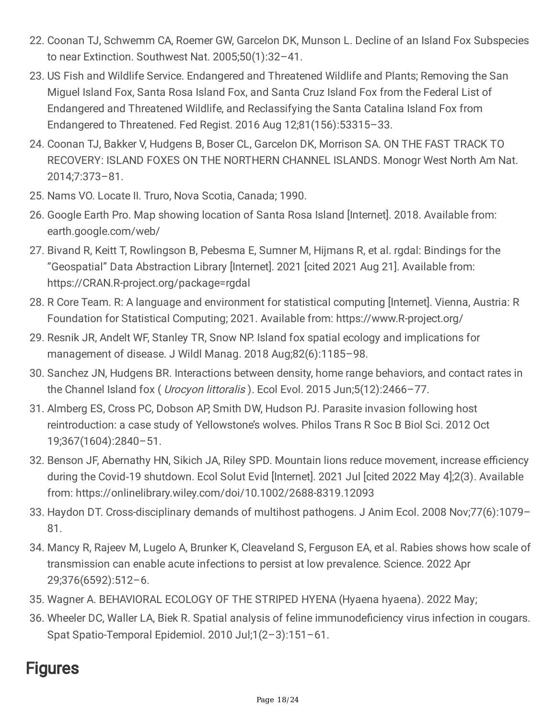- 22. Coonan TJ, Schwemm CA, Roemer GW, Garcelon DK, Munson L. Decline of an Island Fox Subspecies to near Extinction. Southwest Nat. 2005;50(1):32–41.
- 23. US Fish and Wildlife Service. Endangered and Threatened Wildlife and Plants; Removing the San Miguel Island Fox, Santa Rosa Island Fox, and Santa Cruz Island Fox from the Federal List of Endangered and Threatened Wildlife, and Reclassifying the Santa Catalina Island Fox from Endangered to Threatened. Fed Regist. 2016 Aug 12;81(156):53315–33.
- 24. Coonan TJ, Bakker V, Hudgens B, Boser CL, Garcelon DK, Morrison SA. ON THE FAST TRACK TO RECOVERY: ISLAND FOXES ON THE NORTHERN CHANNEL ISLANDS. Monogr West North Am Nat. 2014;7:373–81.
- 25. Nams VO. Locate II. Truro, Nova Scotia, Canada; 1990.
- 26. Google Earth Pro. Map showing location of Santa Rosa Island [Internet]. 2018. Available from: earth.google.com/web/
- 27. Bivand R, Keitt T, Rowlingson B, Pebesma E, Sumner M, Hijmans R, et al. rgdal: Bindings for the "Geospatial" Data Abstraction Library [Internet]. 2021 [cited 2021 Aug 21]. Available from: https://CRAN.R-project.org/package=rgdal
- 28. R Core Team. R: A language and environment for statistical computing [Internet]. Vienna, Austria: R Foundation for Statistical Computing; 2021. Available from: https://www.R-project.org/
- 29. Resnik JR, Andelt WF, Stanley TR, Snow NP. Island fox spatial ecology and implications for management of disease. J Wildl Manag. 2018 Aug;82(6):1185–98.
- 30. Sanchez JN, Hudgens BR. Interactions between density, home range behaviors, and contact rates in the Channel Island fox ( Urocyon littoralis ). Ecol Evol. 2015 Jun;5(12):2466-77.
- 31. Almberg ES, Cross PC, Dobson AP, Smith DW, Hudson PJ. Parasite invasion following host reintroduction: a case study of Yellowstone's wolves. Philos Trans R Soc B Biol Sci. 2012 Oct 19;367(1604):2840–51.
- 32. Benson JF, Abernathy HN, Sikich JA, Riley SPD. Mountain lions reduce movement, increase efficiency during the Covid‐19 shutdown. Ecol Solut Evid [Internet]. 2021 Jul [cited 2022 May 4];2(3). Available from: https://onlinelibrary.wiley.com/doi/10.1002/2688-8319.12093
- 33. Haydon DT. Cross-disciplinary demands of multihost pathogens. J Anim Ecol. 2008 Nov;77(6):1079– 81.
- 34. Mancy R, Rajeev M, Lugelo A, Brunker K, Cleaveland S, Ferguson EA, et al. Rabies shows how scale of transmission can enable acute infections to persist at low prevalence. Science. 2022 Apr 29;376(6592):512–6.
- 35. Wagner A. BEHAVIORAL ECOLOGY OF THE STRIPED HYENA (Hyaena hyaena). 2022 May;
- 36. Wheeler DC, Waller LA, Biek R. Spatial analysis of feline immunodeficiency virus infection in cougars. Spat Spatio-Temporal Epidemiol. 2010 Jul;1(2–3):151–61.

### **Figures**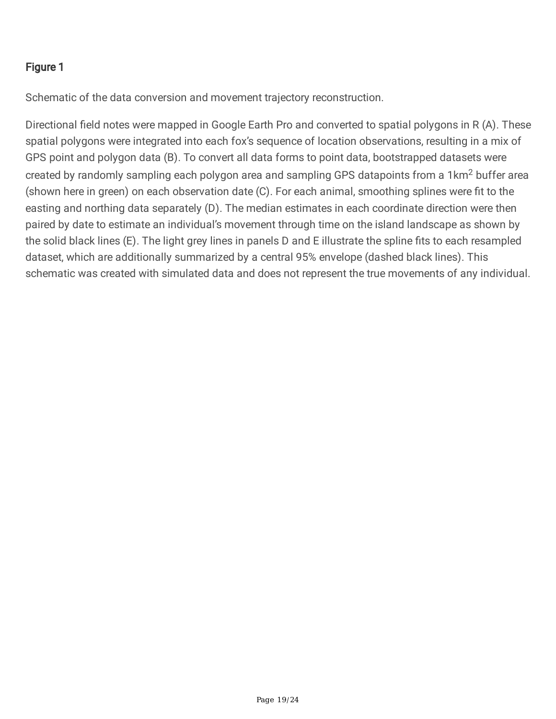#### Figure 1

Schematic of the data conversion and movement trajectory reconstruction.

Directional field notes were mapped in Google Earth Pro and converted to spatial polygons in R (A). These spatial polygons were integrated into each fox's sequence of location observations, resulting in a mix of GPS point and polygon data (B). To convert all data forms to point data, bootstrapped datasets were created by randomly sampling each polygon area and sampling GPS datapoints from a 1km<sup>2</sup> buffer area (shown here in green) on each observation date (C). For each animal, smoothing splines were fit to the easting and northing data separately (D). The median estimates in each coordinate direction were then paired by date to estimate an individual's movement through time on the island landscape as shown by the solid black lines (E). The light grey lines in panels D and E illustrate the spline fits to each resampled dataset, which are additionally summarized by a central 95% envelope (dashed black lines). This schematic was created with simulated data and does not represent the true movements of any individual.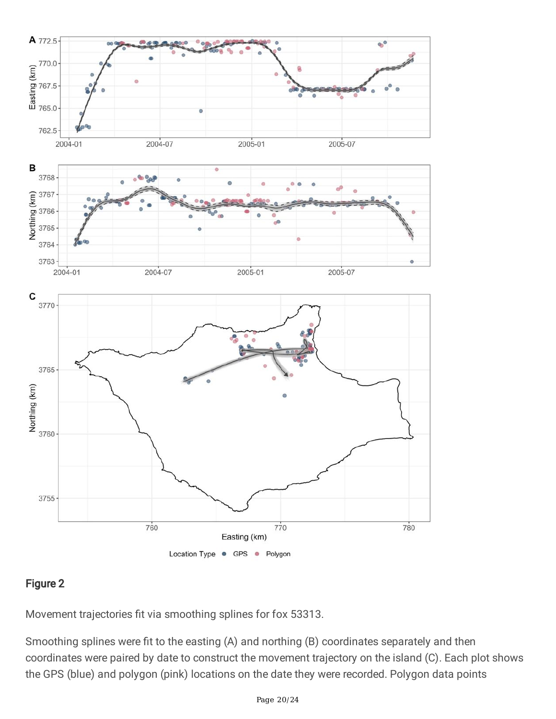

#### Figure 2

Movement trajectories fit via smoothing splines for fox 53313.

Smoothing splines were fit to the easting (A) and northing (B) coordinates separately and then coordinates were paired by date to construct the movement trajectory on the island (C). Each plot shows the GPS (blue) and polygon (pink) locations on the date they were recorded. Polygon data points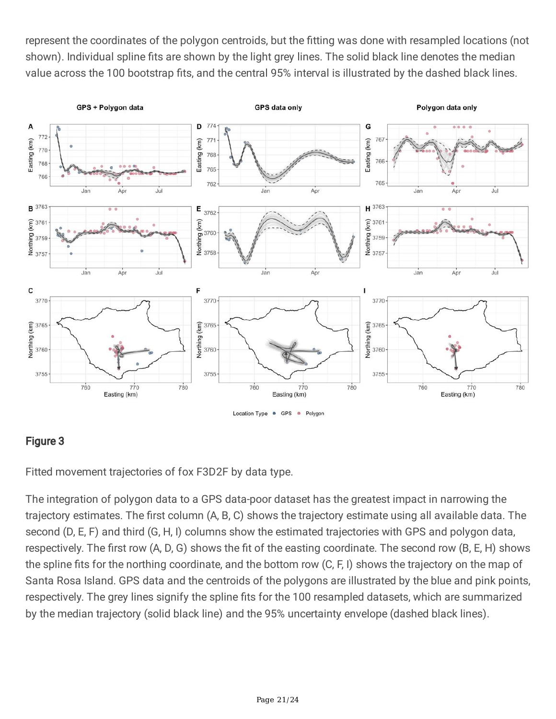represent the coordinates of the polygon centroids, but the fitting was done with resampled locations (not shown). Individual spline fits are shown by the light grey lines. The solid black line denotes the median value across the 100 bootstrap fits, and the central 95% interval is illustrated by the dashed black lines.



#### Figure 3

Fitted movement trajectories of fox F3D2F by data type.

The integration of polygon data to a GPS data-poor dataset has the greatest impact in narrowing the trajectory estimates. The first column (A, B, C) shows the trajectory estimate using all available data. The second (D, E, F) and third (G, H, I) columns show the estimated trajectories with GPS and polygon data, respectively. The first row (A, D, G) shows the fit of the easting coordinate. The second row (B, E, H) shows the spline fits for the northing coordinate, and the bottom row (C, F, I) shows the trajectory on the map of Santa Rosa Island. GPS data and the centroids of the polygons are illustrated by the blue and pink points, respectively. The grey lines signify the spline fits for the 100 resampled datasets, which are summarized by the median trajectory (solid black line) and the 95% uncertainty envelope (dashed black lines).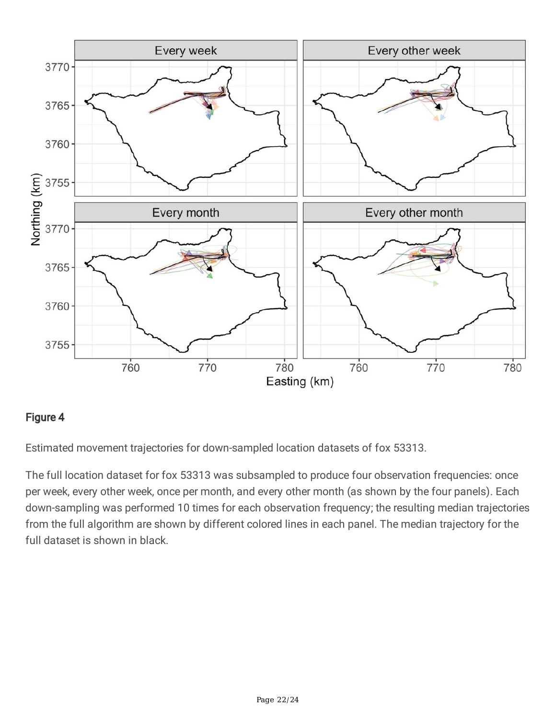

#### Figure 4

Estimated movement trajectories for down-sampled location datasets of fox 53313.

The full location dataset for fox 53313 was subsampled to produce four observation frequencies: once per week, every other week, once per month, and every other month (as shown by the four panels). Each down-sampling was performed 10 times for each observation frequency; the resulting median trajectories from the full algorithm are shown by different colored lines in each panel. The median trajectory for the full dataset is shown in black.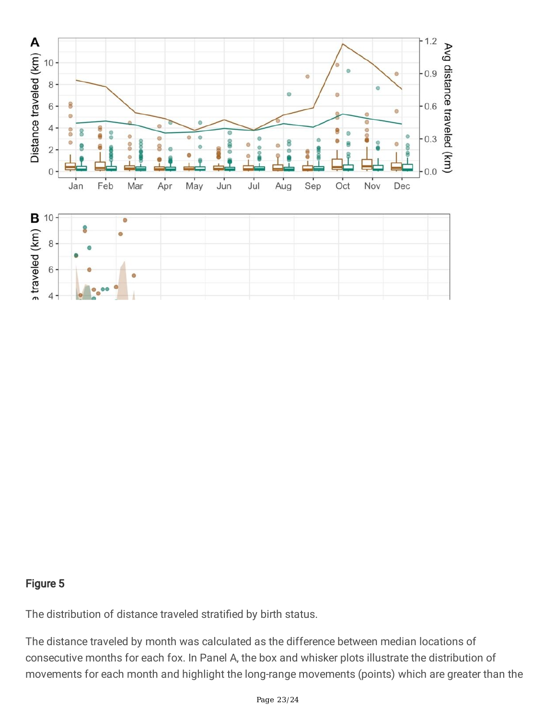

#### Figure 5

The distribution of distance traveled stratified by birth status.

The distance traveled by month was calculated as the difference between median locations of consecutive months for each fox. In Panel A, the box and whisker plots illustrate the distribution of movements for each month and highlight the long-range movements (points) which are greater than the